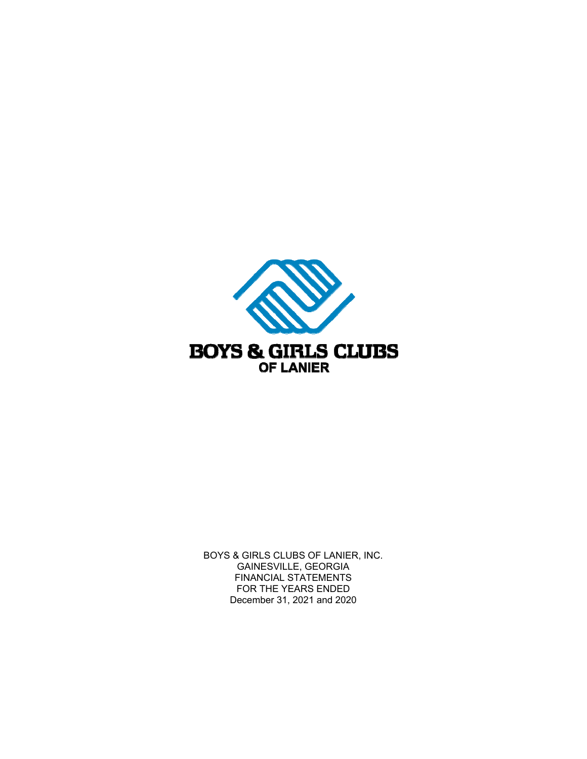

BOYS & GIRLS CLUBS OF LANIER, INC. GAINESVILLE, GEORGIA FINANCIAL STATEMENTS FOR THE YEARS ENDED December 31, 2021 and 2020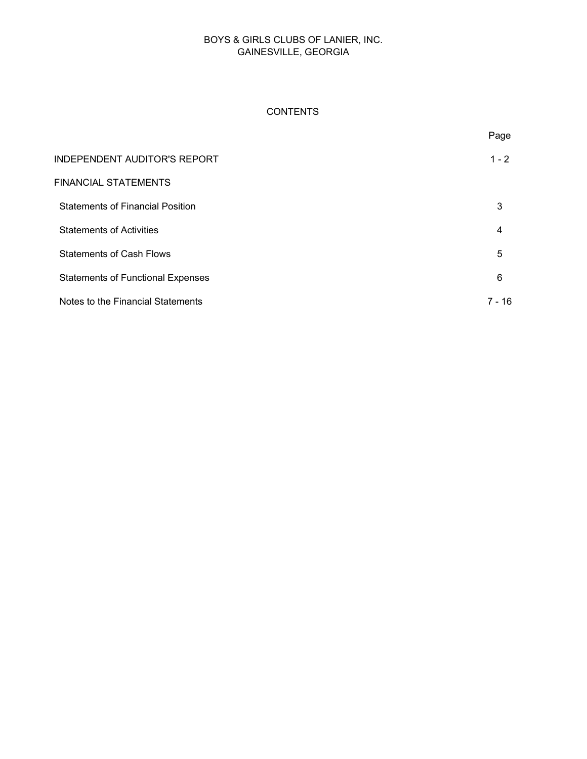# BOYS & GIRLS CLUBS OF LANIER, INC. GAINESVILLE, GEORGIA

# **CONTENTS**

|                                          | Page     |
|------------------------------------------|----------|
| <b>INDEPENDENT AUDITOR'S REPORT</b>      | $1 - 2$  |
| <b>FINANCIAL STATEMENTS</b>              |          |
| <b>Statements of Financial Position</b>  | 3        |
| <b>Statements of Activities</b>          | 4        |
| <b>Statements of Cash Flows</b>          | 5        |
| <b>Statements of Functional Expenses</b> | 6        |
| Notes to the Financial Statements        | $7 - 16$ |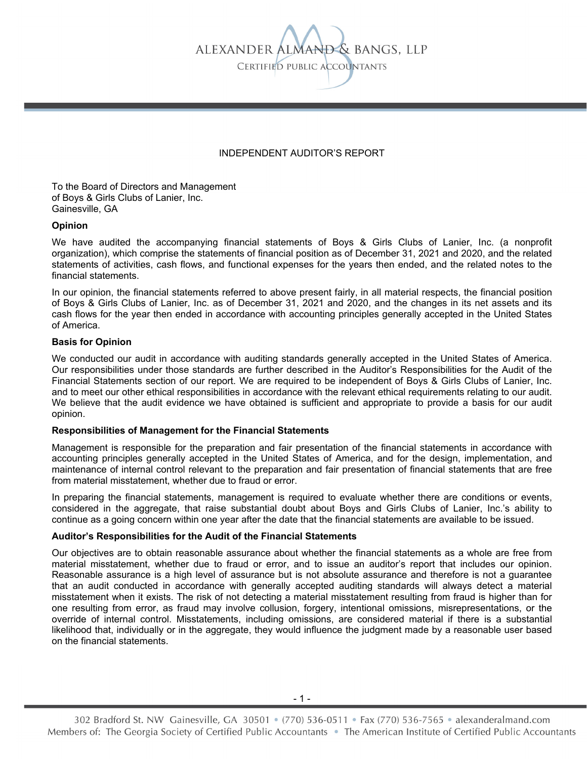

## INDEPENDENT AUDITOR'S REPORT

To the Board of Directors and Management of Boys & Girls Clubs of Lanier, Inc. Gainesville, GA

### **Opinion**

We have audited the accompanying financial statements of Boys & Girls Clubs of Lanier, Inc. (a nonprofit organization), which comprise the statements of financial position as of December 31, 2021 and 2020, and the related statements of activities, cash flows, and functional expenses for the years then ended, and the related notes to the financial statements.

In our opinion, the financial statements referred to above present fairly, in all material respects, the financial position of Boys & Girls Clubs of Lanier, Inc. as of December 31, 2021 and 2020, and the changes in its net assets and its cash flows for the year then ended in accordance with accounting principles generally accepted in the United States of America.

### **Basis for Opinion**

We conducted our audit in accordance with auditing standards generally accepted in the United States of America. Our responsibilities under those standards are further described in the Auditor's Responsibilities for the Audit of the Financial Statements section of our report. We are required to be independent of Boys & Girls Clubs of Lanier, Inc. and to meet our other ethical responsibilities in accordance with the relevant ethical requirements relating to our audit. We believe that the audit evidence we have obtained is sufficient and appropriate to provide a basis for our audit opinion.

### **Responsibilities of Management for the Financial Statements**

Management is responsible for the preparation and fair presentation of the financial statements in accordance with accounting principles generally accepted in the United States of America, and for the design, implementation, and maintenance of internal control relevant to the preparation and fair presentation of financial statements that are free from material misstatement, whether due to fraud or error.

In preparing the financial statements, management is required to evaluate whether there are conditions or events, considered in the aggregate, that raise substantial doubt about Boys and Girls Clubs of Lanier, Inc.'s ability to continue as a going concern within one year after the date that the financial statements are available to be issued.

### **Auditor's Responsibilities for the Audit of the Financial Statements**

Our objectives are to obtain reasonable assurance about whether the financial statements as a whole are free from material misstatement, whether due to fraud or error, and to issue an auditor's report that includes our opinion. Reasonable assurance is a high level of assurance but is not absolute assurance and therefore is not a guarantee that an audit conducted in accordance with generally accepted auditing standards will always detect a material misstatement when it exists. The risk of not detecting a material misstatement resulting from fraud is higher than for one resulting from error, as fraud may involve collusion, forgery, intentional omissions, misrepresentations, or the override of internal control. Misstatements, including omissions, are considered material if there is a substantial likelihood that, individually or in the aggregate, they would influence the judgment made by a reasonable user based on the financial statements.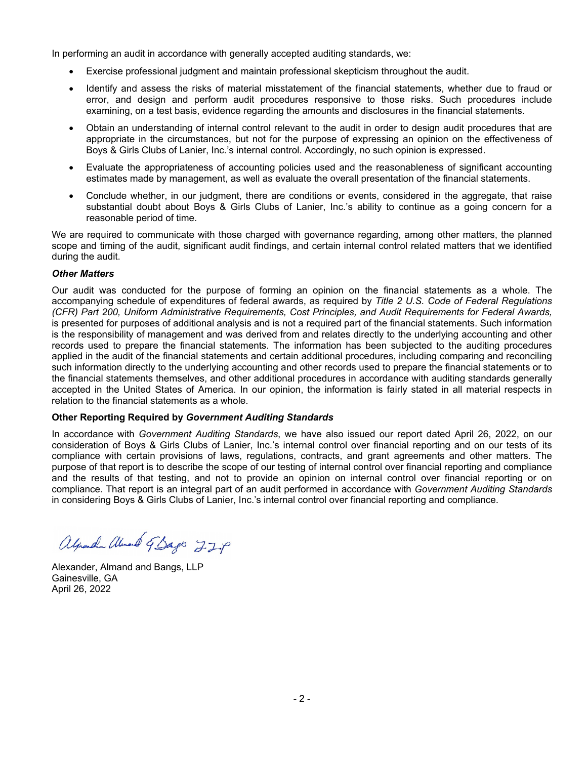In performing an audit in accordance with generally accepted auditing standards, we:

- Exercise professional judgment and maintain professional skepticism throughout the audit.
- Identify and assess the risks of material misstatement of the financial statements, whether due to fraud or error, and design and perform audit procedures responsive to those risks. Such procedures include examining, on a test basis, evidence regarding the amounts and disclosures in the financial statements.
- Obtain an understanding of internal control relevant to the audit in order to design audit procedures that are appropriate in the circumstances, but not for the purpose of expressing an opinion on the effectiveness of Boys & Girls Clubs of Lanier, Inc.'s internal control. Accordingly, no such opinion is expressed.
- Evaluate the appropriateness of accounting policies used and the reasonableness of significant accounting estimates made by management, as well as evaluate the overall presentation of the financial statements.
- Conclude whether, in our judgment, there are conditions or events, considered in the aggregate, that raise substantial doubt about Boys & Girls Clubs of Lanier, Inc.'s ability to continue as a going concern for a reasonable period of time.

We are required to communicate with those charged with governance regarding, among other matters, the planned scope and timing of the audit, significant audit findings, and certain internal control related matters that we identified during the audit.

### *Other Matters*

Our audit was conducted for the purpose of forming an opinion on the financial statements as a whole. The accompanying schedule of expenditures of federal awards, as required by *Title 2 U.S. Code of Federal Regulations (CFR) Part 200, Uniform Administrative Requirements, Cost Principles, and Audit Requirements for Federal Awards,*  is presented for purposes of additional analysis and is not a required part of the financial statements. Such information is the responsibility of management and was derived from and relates directly to the underlying accounting and other records used to prepare the financial statements. The information has been subjected to the auditing procedures applied in the audit of the financial statements and certain additional procedures, including comparing and reconciling such information directly to the underlying accounting and other records used to prepare the financial statements or to the financial statements themselves, and other additional procedures in accordance with auditing standards generally accepted in the United States of America. In our opinion, the information is fairly stated in all material respects in relation to the financial statements as a whole.

## **Other Reporting Required by** *Government Auditing Standards*

In accordance with *Government Auditing Standards*, we have also issued our report dated April 26, 2022, on our consideration of Boys & Girls Clubs of Lanier, Inc.'s internal control over financial reporting and on our tests of its compliance with certain provisions of laws, regulations, contracts, and grant agreements and other matters. The purpose of that report is to describe the scope of our testing of internal control over financial reporting and compliance and the results of that testing, and not to provide an opinion on internal control over financial reporting or on compliance. That report is an integral part of an audit performed in accordance with *Government Auditing Standards* in considering Boys & Girls Clubs of Lanier, Inc.'s internal control over financial reporting and compliance.

alparch almond G Bago 22P

Alexander, Almand and Bangs, LLP Gainesville, GA April 26, 2022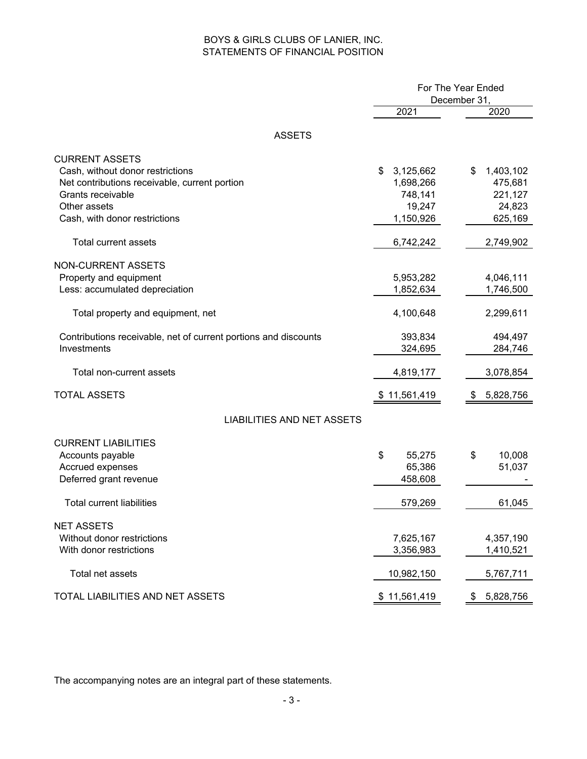# BOYS & GIRLS CLUBS OF LANIER, INC. STATEMENTS OF FINANCIAL POSITION

|                                                                 |                  | For The Year Ended<br>December 31, |  |  |  |
|-----------------------------------------------------------------|------------------|------------------------------------|--|--|--|
|                                                                 | 2021             | 2020                               |  |  |  |
| <b>ASSETS</b>                                                   |                  |                                    |  |  |  |
| <b>CURRENT ASSETS</b>                                           |                  |                                    |  |  |  |
| Cash, without donor restrictions                                | \$<br>3,125,662  | 1,403,102<br>\$                    |  |  |  |
| Net contributions receivable, current portion                   | 1,698,266        | 475,681                            |  |  |  |
| Grants receivable                                               | 748,141          | 221,127                            |  |  |  |
| Other assets                                                    | 19,247           | 24,823                             |  |  |  |
| Cash, with donor restrictions                                   | 1,150,926        | 625,169                            |  |  |  |
| Total current assets                                            | 6,742,242        | 2,749,902                          |  |  |  |
| <b>NON-CURRENT ASSETS</b>                                       |                  |                                    |  |  |  |
| Property and equipment                                          | 5,953,282        | 4,046,111                          |  |  |  |
| Less: accumulated depreciation                                  | 1,852,634        | 1,746,500                          |  |  |  |
| Total property and equipment, net                               | 4,100,648        | 2,299,611                          |  |  |  |
| Contributions receivable, net of current portions and discounts | 393,834          | 494,497                            |  |  |  |
| Investments                                                     | 324,695          | 284,746                            |  |  |  |
| Total non-current assets                                        | 4,819,177        | 3,078,854                          |  |  |  |
| <b>TOTAL ASSETS</b>                                             | 11,561,419<br>\$ | 5,828,756<br>P.                    |  |  |  |
| <b>LIABILITIES AND NET ASSETS</b>                               |                  |                                    |  |  |  |
| <b>CURRENT LIABILITIES</b>                                      |                  |                                    |  |  |  |
| Accounts payable                                                | \$<br>55,275     | \$<br>10,008                       |  |  |  |
| Accrued expenses                                                | 65,386           | 51,037                             |  |  |  |
| Deferred grant revenue                                          | 458,608          |                                    |  |  |  |
|                                                                 |                  |                                    |  |  |  |
| <b>Total current liabilities</b>                                | 579,269          | 61,045                             |  |  |  |
| <b>NET ASSETS</b>                                               |                  |                                    |  |  |  |
| Without donor restrictions                                      | 7,625,167        | 4,357,190                          |  |  |  |
| With donor restrictions                                         | 3,356,983        | 1,410,521                          |  |  |  |
| Total net assets                                                | 10,982,150       | 5,767,711                          |  |  |  |
| TOTAL LIABILITIES AND NET ASSETS                                | \$11,561,419     | 5,828,756<br>\$                    |  |  |  |

The accompanying notes are an integral part of these statements.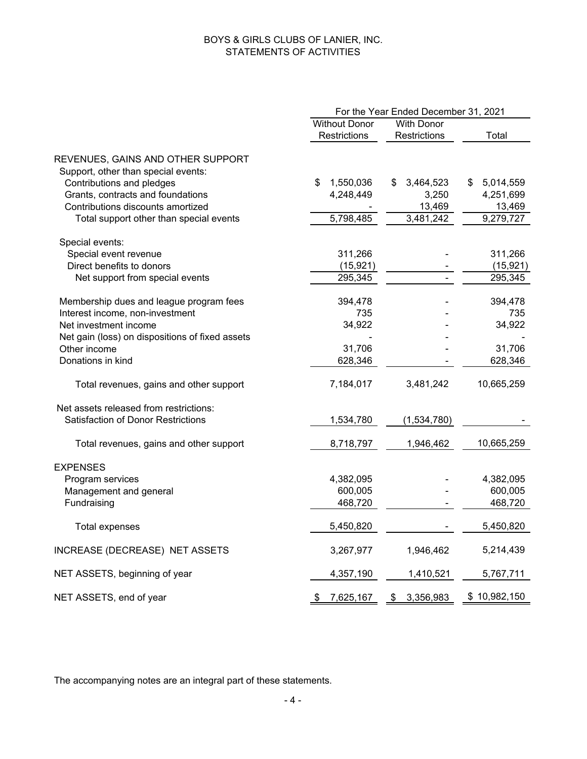# BOYS & GIRLS CLUBS OF LANIER, INC. STATEMENTS OF ACTIVITIES

|                                                                              | For the Year Ended December 31, 2021 |                 |                        |  |
|------------------------------------------------------------------------------|--------------------------------------|-----------------|------------------------|--|
|                                                                              | <b>Without Donor</b>                 |                 |                        |  |
|                                                                              | Restrictions                         | Restrictions    | Total                  |  |
| REVENUES, GAINS AND OTHER SUPPORT<br>Support, other than special events:     |                                      |                 |                        |  |
| Contributions and pledges                                                    | 1,550,036<br>\$                      | \$<br>3,464,523 | \$<br>5,014,559        |  |
| Grants, contracts and foundations                                            | 4,248,449                            | 3,250           | 4,251,699              |  |
| Contributions discounts amortized                                            |                                      | 13,469          | 13,469                 |  |
| Total support other than special events                                      | 5,798,485                            | 3,481,242       | $\overline{9,279,727}$ |  |
| Special events:                                                              |                                      |                 |                        |  |
| Special event revenue                                                        | 311,266                              |                 | 311,266                |  |
| Direct benefits to donors                                                    | (15, 921)                            |                 | (15, 921)              |  |
| Net support from special events                                              | 295,345                              |                 | 295,345                |  |
| Membership dues and league program fees                                      | 394,478                              |                 | 394,478                |  |
| Interest income, non-investment                                              | 735                                  |                 | 735                    |  |
| Net investment income                                                        | 34,922                               |                 | 34,922                 |  |
| Net gain (loss) on dispositions of fixed assets                              |                                      |                 |                        |  |
| Other income                                                                 | 31,706                               |                 | 31,706                 |  |
| Donations in kind                                                            | 628,346                              |                 | 628,346                |  |
| Total revenues, gains and other support                                      | 7,184,017                            | 3,481,242       | 10,665,259             |  |
| Net assets released from restrictions:<br>Satisfaction of Donor Restrictions | 1,534,780                            | (1,534,780)     |                        |  |
| Total revenues, gains and other support                                      | 8,718,797                            | 1,946,462       | 10,665,259             |  |
| <b>EXPENSES</b>                                                              |                                      |                 |                        |  |
| Program services                                                             | 4,382,095                            |                 | 4,382,095              |  |
| Management and general                                                       | 600,005                              |                 | 600,005                |  |
| Fundraising                                                                  | 468,720                              |                 | 468,720                |  |
| <b>Total expenses</b>                                                        | 5,450,820                            |                 | 5,450,820              |  |
| INCREASE (DECREASE) NET ASSETS                                               | 3,267,977                            | 1,946,462       | 5,214,439              |  |
| NET ASSETS, beginning of year                                                | 4,357,190                            | 1,410,521       | 5,767,711              |  |
| NET ASSETS, end of year                                                      | 7,625,167                            | 3,356,983       | \$10,982,150           |  |

The accompanying notes are an integral part of these statements.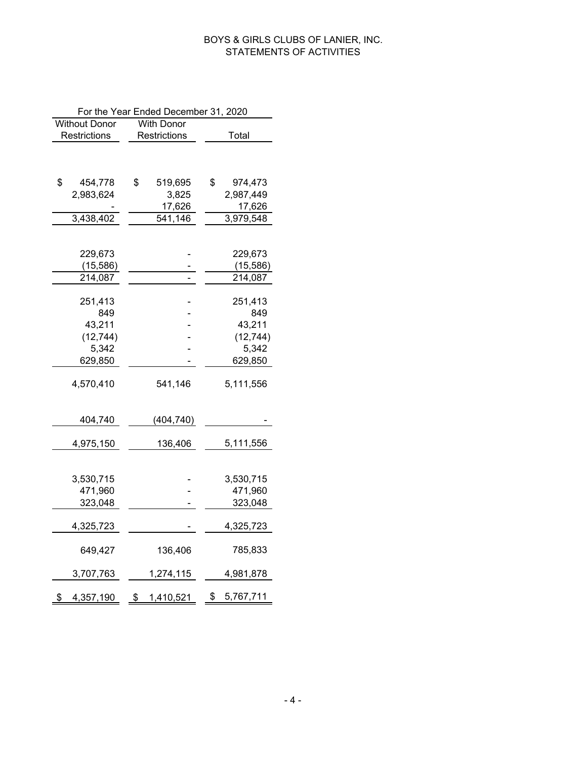# BOYS & GIRLS CLUBS OF LANIER, INC. STATEMENTS OF ACTIVITIES

| For the Year Ended December 31, 2020 |    |                   |    |                |  |  |
|--------------------------------------|----|-------------------|----|----------------|--|--|
| <b>Without Donor</b>                 |    | <b>With Donor</b> |    |                |  |  |
| Restrictions                         |    | Restrictions      |    | Total          |  |  |
|                                      |    |                   |    |                |  |  |
|                                      |    |                   |    |                |  |  |
| 454,778<br>\$                        | \$ | 519,695           | \$ | 974,473        |  |  |
| 2,983,624                            |    | 3,825             |    | 2,987,449      |  |  |
|                                      |    | 17,626            |    | 17,626         |  |  |
| 3,438,402                            |    | 541,146           |    | 3,979,548      |  |  |
|                                      |    |                   |    |                |  |  |
|                                      |    |                   |    |                |  |  |
| 229,673                              |    |                   |    | 229,673        |  |  |
| (15, 586)                            |    |                   |    | (15, 586)      |  |  |
| 214,087                              |    |                   |    | 214,087        |  |  |
|                                      |    |                   |    |                |  |  |
| 251,413<br>849                       |    |                   |    | 251,413<br>849 |  |  |
| 43,211                               |    |                   |    | 43,211         |  |  |
| (12, 744)                            |    |                   |    | (12, 744)      |  |  |
| 5,342                                |    |                   |    | 5,342          |  |  |
| 629,850                              |    |                   |    | 629,850        |  |  |
|                                      |    |                   |    |                |  |  |
| 4,570,410                            |    | 541,146           |    | 5,111,556      |  |  |
|                                      |    |                   |    |                |  |  |
|                                      |    |                   |    |                |  |  |
| 404,740                              |    | (404, 740)        |    |                |  |  |
| 4,975,150                            |    | 136,406           |    | 5,111,556      |  |  |
|                                      |    |                   |    |                |  |  |
|                                      |    |                   |    |                |  |  |
| 3,530,715                            |    |                   |    | 3,530,715      |  |  |
| 471,960                              |    |                   |    | 471,960        |  |  |
| 323,048                              |    |                   |    | 323,048        |  |  |
| 4,325,723                            |    |                   |    | 4,325,723      |  |  |
|                                      |    |                   |    |                |  |  |
| 649,427                              |    | 136,406           |    | 785,833        |  |  |
| 3,707,763                            |    | 1,274,115         |    | 4,981,878      |  |  |
|                                      |    |                   |    |                |  |  |
| 4,357,190<br>\$                      | \$ | 1,410,521         | \$ | 5,767,711      |  |  |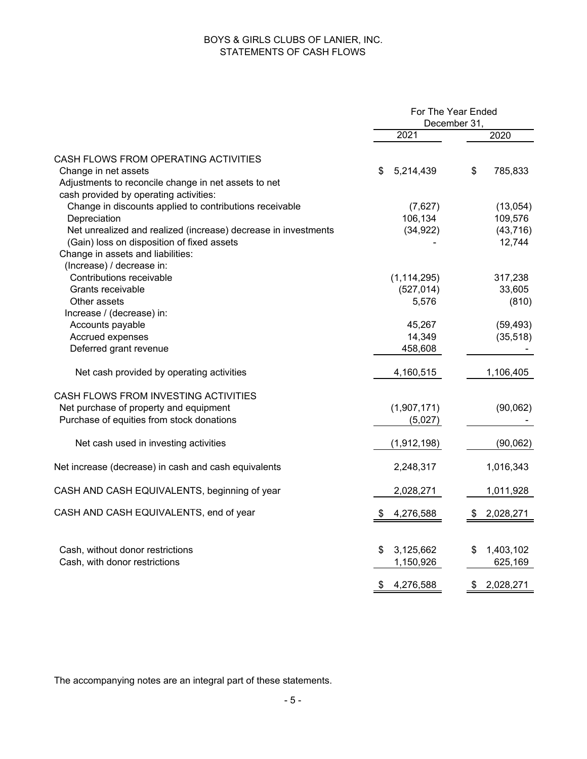# BOYS & GIRLS CLUBS OF LANIER, INC. STATEMENTS OF CASH FLOWS

|                                                                | For The Year Ended |                 |  |  |
|----------------------------------------------------------------|--------------------|-----------------|--|--|
|                                                                | December 31,       |                 |  |  |
|                                                                | 2021               | 2020            |  |  |
| CASH FLOWS FROM OPERATING ACTIVITIES                           |                    |                 |  |  |
| Change in net assets                                           | 5,214,439<br>\$    | \$<br>785,833   |  |  |
| Adjustments to reconcile change in net assets to net           |                    |                 |  |  |
| cash provided by operating activities:                         |                    |                 |  |  |
| Change in discounts applied to contributions receivable        | (7,627)            | (13,054)        |  |  |
| Depreciation                                                   | 106,134            | 109,576         |  |  |
| Net unrealized and realized (increase) decrease in investments | (34, 922)          | (43, 716)       |  |  |
| (Gain) loss on disposition of fixed assets                     |                    | 12,744          |  |  |
| Change in assets and liabilities:                              |                    |                 |  |  |
| (Increase) / decrease in:                                      |                    |                 |  |  |
| Contributions receivable                                       | (1, 114, 295)      | 317,238         |  |  |
| Grants receivable                                              | (527, 014)         | 33,605          |  |  |
| Other assets                                                   | 5,576              | (810)           |  |  |
| Increase / (decrease) in:                                      |                    |                 |  |  |
|                                                                | 45,267             | (59, 493)       |  |  |
| Accounts payable                                               |                    |                 |  |  |
| Accrued expenses                                               | 14,349             | (35, 518)       |  |  |
| Deferred grant revenue                                         | 458,608            |                 |  |  |
| Net cash provided by operating activities                      | 4,160,515          | 1,106,405       |  |  |
| CASH FLOWS FROM INVESTING ACTIVITIES                           |                    |                 |  |  |
| Net purchase of property and equipment                         | (1,907,171)        | (90,062)        |  |  |
| Purchase of equities from stock donations                      |                    |                 |  |  |
|                                                                | (5,027)            |                 |  |  |
| Net cash used in investing activities                          | (1,912,198)        | (90,062)        |  |  |
| Net increase (decrease) in cash and cash equivalents           | 2,248,317          | 1,016,343       |  |  |
| CASH AND CASH EQUIVALENTS, beginning of year                   | 2,028,271          | 1,011,928       |  |  |
| CASH AND CASH EQUIVALENTS, end of year                         | 4,276,588          | 2,028,271<br>\$ |  |  |
|                                                                |                    |                 |  |  |
| Cash, without donor restrictions                               | \$<br>3,125,662    | 1,403,102       |  |  |
| Cash, with donor restrictions                                  | 1,150,926          | 625,169         |  |  |
|                                                                |                    |                 |  |  |
|                                                                | \$<br>4,276,588    | 2,028,271<br>\$ |  |  |

The accompanying notes are an integral part of these statements.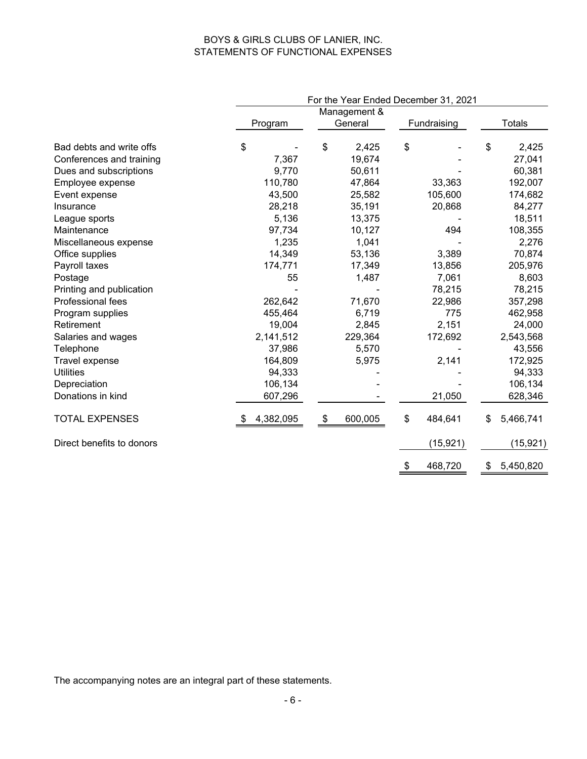# BOYS & GIRLS CLUBS OF LANIER, INC. STATEMENTS OF FUNCTIONAL EXPENSES

|                           | For the Year Ended December 31, 2021 |                         |               |                 |  |  |
|---------------------------|--------------------------------------|-------------------------|---------------|-----------------|--|--|
|                           |                                      |                         |               |                 |  |  |
|                           | Program                              | Management &<br>General | Fundraising   | <b>Totals</b>   |  |  |
| Bad debts and write offs  | \$                                   | \$<br>2,425             | \$            | \$<br>2,425     |  |  |
| Conferences and training  | 7,367                                | 19,674                  |               | 27,041          |  |  |
| Dues and subscriptions    | 9,770                                | 50,611                  |               | 60,381          |  |  |
| Employee expense          | 110,780                              | 47,864                  | 33,363        | 192,007         |  |  |
| Event expense             | 43,500                               | 25,582                  | 105,600       | 174,682         |  |  |
| Insurance                 | 28,218                               | 35,191                  | 20,868        | 84,277          |  |  |
| League sports             | 5,136                                | 13,375                  |               | 18,511          |  |  |
| Maintenance               | 97,734                               | 10,127                  | 494           | 108,355         |  |  |
| Miscellaneous expense     | 1,235                                | 1,041                   |               | 2,276           |  |  |
| Office supplies           | 14,349                               | 53,136                  | 3,389         | 70,874          |  |  |
| Payroll taxes             | 174,771                              | 17,349                  | 13,856        | 205,976         |  |  |
| Postage                   | 55                                   | 1,487                   | 7,061         | 8,603           |  |  |
| Printing and publication  |                                      |                         | 78,215        | 78,215          |  |  |
| Professional fees         | 262,642                              | 71,670                  | 22,986        | 357,298         |  |  |
| Program supplies          | 455,464                              | 6,719                   | 775           | 462,958         |  |  |
| Retirement                | 19,004                               | 2,845                   | 2,151         | 24,000          |  |  |
| Salaries and wages        | 2,141,512                            | 229,364                 | 172,692       | 2,543,568       |  |  |
| Telephone                 | 37,986                               | 5,570                   |               | 43,556          |  |  |
| Travel expense            | 164,809                              | 5,975                   | 2,141         | 172,925         |  |  |
| <b>Utilities</b>          | 94,333                               |                         |               | 94,333          |  |  |
| Depreciation              | 106,134                              |                         |               | 106,134         |  |  |
| Donations in kind         | 607,296                              |                         | 21,050        | 628,346         |  |  |
| <b>TOTAL EXPENSES</b>     | 4,382,095                            | 600,005<br>\$           | \$<br>484,641 | 5,466,741<br>\$ |  |  |
| Direct benefits to donors |                                      |                         | (15, 921)     | (15, 921)       |  |  |
|                           |                                      |                         | 468,720       | 5,450,820<br>£. |  |  |

The accompanying notes are an integral part of these statements.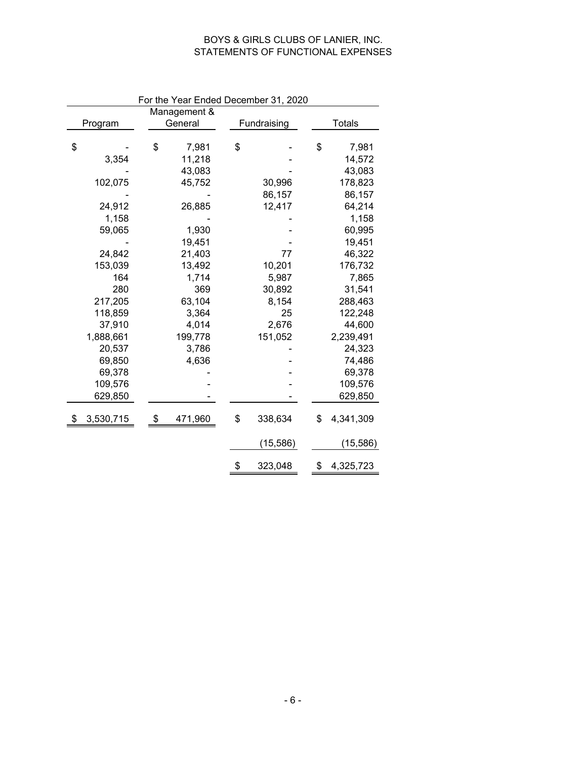# BOYS & GIRLS CLUBS OF LANIER, INC. STATEMENTS OF FUNCTIONAL EXPENSES

|                |    |              | For the Year Ended December 31, 2020 |                 |
|----------------|----|--------------|--------------------------------------|-----------------|
|                |    | Management & |                                      |                 |
| Program        |    | General      | Fundraising                          | <b>Totals</b>   |
|                |    |              |                                      |                 |
| \$             | \$ | 7,981        | \$                                   | \$<br>7,981     |
| 3,354          |    | 11,218       |                                      | 14,572          |
|                |    | 43,083       |                                      | 43,083          |
| 102,075        |    | 45,752       | 30,996                               | 178,823         |
|                |    |              | 86,157                               | 86,157          |
| 24,912         |    | 26,885       | 12,417                               | 64,214          |
| 1,158          |    |              |                                      | 1,158           |
| 59,065         |    | 1,930        |                                      | 60,995          |
|                |    | 19,451       |                                      | 19,451          |
| 24,842         |    | 21,403       | 77                                   | 46,322          |
| 153,039        |    | 13,492       | 10,201                               | 176,732         |
| 164            |    | 1,714        | 5,987                                | 7,865           |
| 280            |    | 369          | 30,892                               | 31,541          |
| 217,205        |    | 63,104       | 8,154                                | 288,463         |
| 118,859        |    | 3,364        | 25                                   | 122,248         |
| 37,910         |    | 4,014        | 2,676                                | 44,600          |
| 1,888,661      |    | 199,778      | 151,052                              | 2,239,491       |
| 20,537         |    | 3,786        |                                      | 24,323          |
| 69,850         |    | 4,636        |                                      | 74,486          |
| 69,378         |    |              |                                      | 69,378          |
| 109,576        |    |              |                                      | 109,576         |
| 629,850        |    |              |                                      | 629,850         |
|                |    |              |                                      |                 |
| 3,530,715<br>S | \$ | 471,960      | \$<br>338,634                        | \$<br>4,341,309 |
|                |    |              |                                      |                 |
|                |    |              | (15, 586)                            | (15, 586)       |
|                |    |              | \$<br>323,048                        | \$<br>4,325,723 |
|                |    |              |                                      |                 |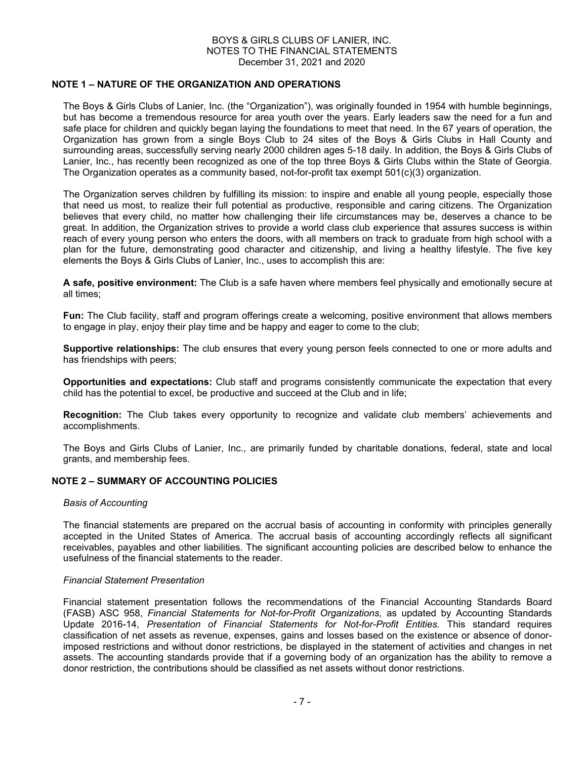### **NOTE 1 – NATURE OF THE ORGANIZATION AND OPERATIONS**

The Boys & Girls Clubs of Lanier, Inc. (the "Organization"), was originally founded in 1954 with humble beginnings, but has become a tremendous resource for area youth over the years. Early leaders saw the need for a fun and safe place for children and quickly began laying the foundations to meet that need. In the 67 years of operation, the Organization has grown from a single Boys Club to 24 sites of the Boys & Girls Clubs in Hall County and surrounding areas, successfully serving nearly 2000 children ages 5-18 daily. In addition, the Boys & Girls Clubs of Lanier, Inc., has recently been recognized as one of the top three Boys & Girls Clubs within the State of Georgia. The Organization operates as a community based, not-for-profit tax exempt 501(c)(3) organization.

The Organization serves children by fulfilling its mission: to inspire and enable all young people, especially those that need us most, to realize their full potential as productive, responsible and caring citizens. The Organization believes that every child, no matter how challenging their life circumstances may be, deserves a chance to be great. In addition, the Organization strives to provide a world class club experience that assures success is within reach of every young person who enters the doors, with all members on track to graduate from high school with a plan for the future, demonstrating good character and citizenship, and living a healthy lifestyle. The five key elements the Boys & Girls Clubs of Lanier, Inc., uses to accomplish this are:

**A safe, positive environment:** The Club is a safe haven where members feel physically and emotionally secure at all times;

**Fun:** The Club facility, staff and program offerings create a welcoming, positive environment that allows members to engage in play, enjoy their play time and be happy and eager to come to the club;

**Supportive relationships:** The club ensures that every young person feels connected to one or more adults and has friendships with peers;

**Opportunities and expectations:** Club staff and programs consistently communicate the expectation that every child has the potential to excel, be productive and succeed at the Club and in life;

**Recognition:** The Club takes every opportunity to recognize and validate club members' achievements and accomplishments.

The Boys and Girls Clubs of Lanier, Inc., are primarily funded by charitable donations, federal, state and local grants, and membership fees.

### **NOTE 2 – SUMMARY OF ACCOUNTING POLICIES**

#### *Basis of Accounting*

The financial statements are prepared on the accrual basis of accounting in conformity with principles generally accepted in the United States of America. The accrual basis of accounting accordingly reflects all significant receivables, payables and other liabilities. The significant accounting policies are described below to enhance the usefulness of the financial statements to the reader.

### *Financial Statement Presentation*

Financial statement presentation follows the recommendations of the Financial Accounting Standards Board (FASB) ASC 958, *Financial Statements for Not-for-Profit Organizations,* as updated by Accounting Standards Update 2016-14, *Presentation of Financial Statements for Not-for-Profit Entities.* This standard requires classification of net assets as revenue, expenses, gains and losses based on the existence or absence of donorimposed restrictions and without donor restrictions, be displayed in the statement of activities and changes in net assets. The accounting standards provide that if a governing body of an organization has the ability to remove a donor restriction, the contributions should be classified as net assets without donor restrictions.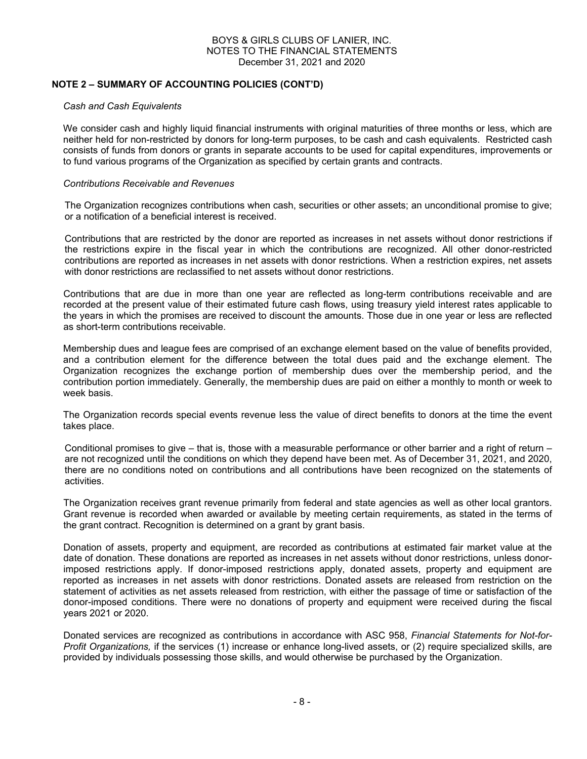### **NOTE 2 – SUMMARY OF ACCOUNTING POLICIES (CONT'D)**

#### *Cash and Cash Equivalents*

We consider cash and highly liquid financial instruments with original maturities of three months or less, which are neither held for non-restricted by donors for long-term purposes, to be cash and cash equivalents. Restricted cash consists of funds from donors or grants in separate accounts to be used for capital expenditures, improvements or to fund various programs of the Organization as specified by certain grants and contracts.

### *Contributions Receivable and Revenues*

The Organization recognizes contributions when cash, securities or other assets; an unconditional promise to give; or a notification of a beneficial interest is received.

Contributions that are restricted by the donor are reported as increases in net assets without donor restrictions if the restrictions expire in the fiscal year in which the contributions are recognized. All other donor-restricted contributions are reported as increases in net assets with donor restrictions. When a restriction expires, net assets with donor restrictions are reclassified to net assets without donor restrictions.

Contributions that are due in more than one year are reflected as long-term contributions receivable and are recorded at the present value of their estimated future cash flows, using treasury yield interest rates applicable to the years in which the promises are received to discount the amounts. Those due in one year or less are reflected as short-term contributions receivable.

Membership dues and league fees are comprised of an exchange element based on the value of benefits provided, and a contribution element for the difference between the total dues paid and the exchange element. The Organization recognizes the exchange portion of membership dues over the membership period, and the contribution portion immediately. Generally, the membership dues are paid on either a monthly to month or week to week basis.

The Organization records special events revenue less the value of direct benefits to donors at the time the event takes place.

Conditional promises to give – that is, those with a measurable performance or other barrier and a right of return – are not recognized until the conditions on which they depend have been met. As of December 31, 2021, and 2020, there are no conditions noted on contributions and all contributions have been recognized on the statements of activities.

The Organization receives grant revenue primarily from federal and state agencies as well as other local grantors. Grant revenue is recorded when awarded or available by meeting certain requirements, as stated in the terms of the grant contract. Recognition is determined on a grant by grant basis.

Donation of assets, property and equipment, are recorded as contributions at estimated fair market value at the date of donation. These donations are reported as increases in net assets without donor restrictions, unless donorimposed restrictions apply. If donor-imposed restrictions apply, donated assets, property and equipment are reported as increases in net assets with donor restrictions. Donated assets are released from restriction on the statement of activities as net assets released from restriction, with either the passage of time or satisfaction of the donor-imposed conditions. There were no donations of property and equipment were received during the fiscal years 2021 or 2020.

Donated services are recognized as contributions in accordance with ASC 958, *Financial Statements for Not-for-Profit Organizations,* if the services (1) increase or enhance long-lived assets, or (2) require specialized skills, are provided by individuals possessing those skills, and would otherwise be purchased by the Organization.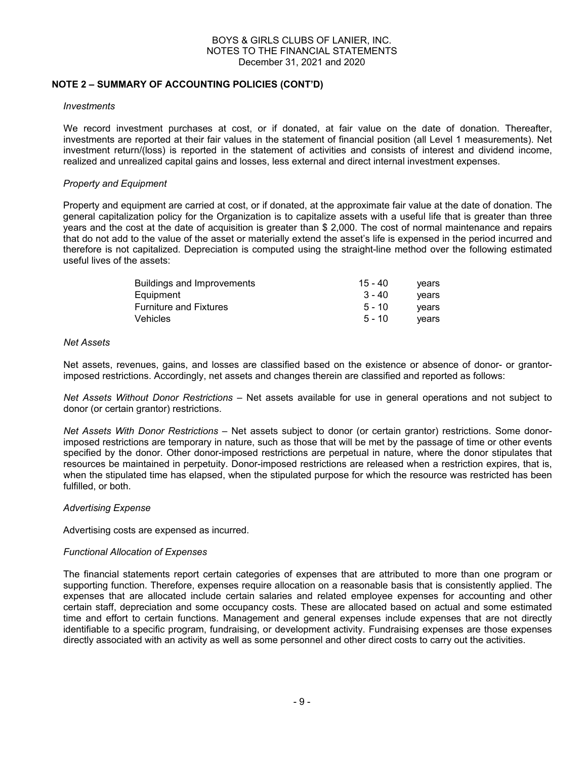### **NOTE 2 – SUMMARY OF ACCOUNTING POLICIES (CONT'D)**

#### *Investments*

We record investment purchases at cost, or if donated, at fair value on the date of donation. Thereafter, investments are reported at their fair values in the statement of financial position (all Level 1 measurements). Net investment return/(loss) is reported in the statement of activities and consists of interest and dividend income, realized and unrealized capital gains and losses, less external and direct internal investment expenses.

### *Property and Equipment*

Property and equipment are carried at cost, or if donated, at the approximate fair value at the date of donation. The general capitalization policy for the Organization is to capitalize assets with a useful life that is greater than three years and the cost at the date of acquisition is greater than \$ 2,000. The cost of normal maintenance and repairs that do not add to the value of the asset or materially extend the asset's life is expensed in the period incurred and therefore is not capitalized. Depreciation is computed using the straight-line method over the following estimated useful lives of the assets:

| Buildings and Improvements | 15 - 40  | vears |
|----------------------------|----------|-------|
| Equipment                  | $3 - 40$ | vears |
| Furniture and Fixtures     | $5 - 10$ | vears |
| Vehicles                   | $5 - 10$ | vears |
|                            |          |       |

### *Net Assets*

Net assets, revenues, gains, and losses are classified based on the existence or absence of donor- or grantorimposed restrictions. Accordingly, net assets and changes therein are classified and reported as follows:

*Net Assets Without Donor Restrictions* – Net assets available for use in general operations and not subject to donor (or certain grantor) restrictions.

*Net Assets With Donor Restrictions* – Net assets subject to donor (or certain grantor) restrictions. Some donorimposed restrictions are temporary in nature, such as those that will be met by the passage of time or other events specified by the donor. Other donor-imposed restrictions are perpetual in nature, where the donor stipulates that resources be maintained in perpetuity. Donor-imposed restrictions are released when a restriction expires, that is, when the stipulated time has elapsed, when the stipulated purpose for which the resource was restricted has been fulfilled, or both.

#### *Advertising Expense*

Advertising costs are expensed as incurred.

#### *Functional Allocation of Expenses*

The financial statements report certain categories of expenses that are attributed to more than one program or supporting function. Therefore, expenses require allocation on a reasonable basis that is consistently applied. The expenses that are allocated include certain salaries and related employee expenses for accounting and other certain staff, depreciation and some occupancy costs. These are allocated based on actual and some estimated time and effort to certain functions. Management and general expenses include expenses that are not directly identifiable to a specific program, fundraising, or development activity. Fundraising expenses are those expenses directly associated with an activity as well as some personnel and other direct costs to carry out the activities.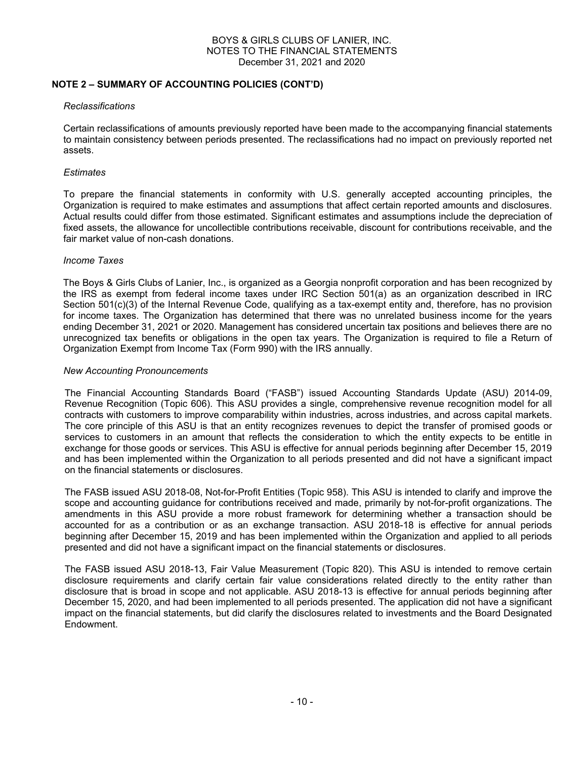### **NOTE 2 – SUMMARY OF ACCOUNTING POLICIES (CONT'D)**

### *Reclassifications*

Certain reclassifications of amounts previously reported have been made to the accompanying financial statements to maintain consistency between periods presented. The reclassifications had no impact on previously reported net assets.

### *Estimates*

To prepare the financial statements in conformity with U.S. generally accepted accounting principles, the Organization is required to make estimates and assumptions that affect certain reported amounts and disclosures. Actual results could differ from those estimated. Significant estimates and assumptions include the depreciation of fixed assets, the allowance for uncollectible contributions receivable, discount for contributions receivable, and the fair market value of non-cash donations.

### *Income Taxes*

The Boys & Girls Clubs of Lanier, Inc., is organized as a Georgia nonprofit corporation and has been recognized by the IRS as exempt from federal income taxes under IRC Section 501(a) as an organization described in IRC Section 501(c)(3) of the Internal Revenue Code, qualifying as a tax-exempt entity and, therefore, has no provision for income taxes. The Organization has determined that there was no unrelated business income for the years ending December 31, 2021 or 2020. Management has considered uncertain tax positions and believes there are no unrecognized tax benefits or obligations in the open tax years. The Organization is required to file a Return of Organization Exempt from Income Tax (Form 990) with the IRS annually.

### *New Accounting Pronouncements*

The Financial Accounting Standards Board ("FASB") issued Accounting Standards Update (ASU) 2014-09, Revenue Recognition (Topic 606). This ASU provides a single, comprehensive revenue recognition model for all contracts with customers to improve comparability within industries, across industries, and across capital markets. The core principle of this ASU is that an entity recognizes revenues to depict the transfer of promised goods or services to customers in an amount that reflects the consideration to which the entity expects to be entitle in exchange for those goods or services. This ASU is effective for annual periods beginning after December 15, 2019 and has been implemented within the Organization to all periods presented and did not have a significant impact on the financial statements or disclosures.

The FASB issued ASU 2018-08, Not-for-Profit Entities (Topic 958). This ASU is intended to clarify and improve the scope and accounting guidance for contributions received and made, primarily by not-for-profit organizations. The amendments in this ASU provide a more robust framework for determining whether a transaction should be accounted for as a contribution or as an exchange transaction. ASU 2018-18 is effective for annual periods beginning after December 15, 2019 and has been implemented within the Organization and applied to all periods presented and did not have a significant impact on the financial statements or disclosures.

The FASB issued ASU 2018-13, Fair Value Measurement (Topic 820). This ASU is intended to remove certain disclosure requirements and clarify certain fair value considerations related directly to the entity rather than disclosure that is broad in scope and not applicable. ASU 2018-13 is effective for annual periods beginning after December 15, 2020, and had been implemented to all periods presented. The application did not have a significant impact on the financial statements, but did clarify the disclosures related to investments and the Board Designated Endowment.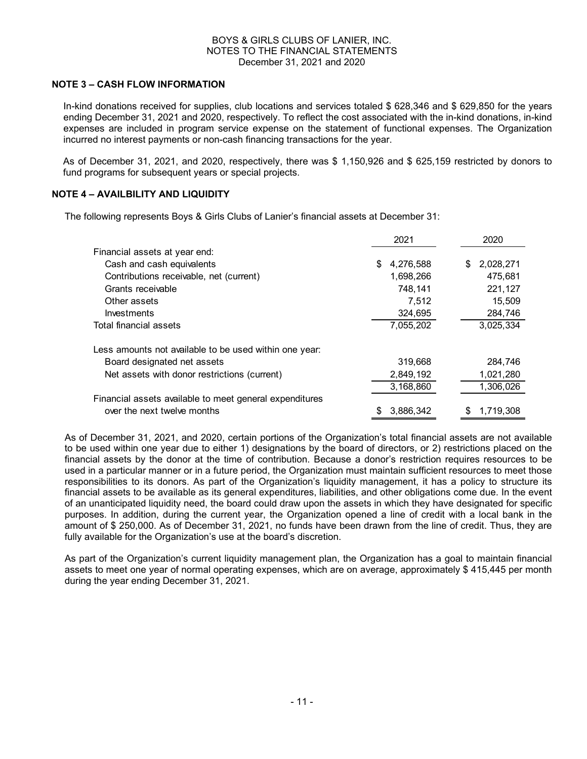### **NOTE 3 – CASH FLOW INFORMATION**

In-kind donations received for supplies, club locations and services totaled \$ 628,346 and \$ 629,850 for the years ending December 31, 2021 and 2020, respectively. To reflect the cost associated with the in-kind donations, in-kind expenses are included in program service expense on the statement of functional expenses. The Organization incurred no interest payments or non-cash financing transactions for the year.

As of December 31, 2021, and 2020, respectively, there was \$ 1,150,926 and \$ 625,159 restricted by donors to fund programs for subsequent years or special projects.

## **NOTE 4 – AVAILBILITY AND LIQUIDITY**

The following represents Boys & Girls Clubs of Lanier's financial assets at December 31:

|                                                         | 2021            | 2020             |
|---------------------------------------------------------|-----------------|------------------|
| Financial assets at year end:                           |                 |                  |
| Cash and cash equivalents                               | 4,276,588<br>\$ | 2,028,271<br>S.  |
| Contributions receivable, net (current)                 | 1,698,266       | 475,681          |
| Grants receivable                                       | 748,141         | 221,127          |
| Other assets                                            | 7,512           | 15,509           |
| Investments                                             | 324,695         | 284,746          |
| Total financial assets                                  | 7,055,202       | 3,025,334        |
| Less amounts not available to be used within one year:  |                 |                  |
| Board designated net assets                             | 319,668         | 284,746          |
| Net assets with donor restrictions (current)            | 2,849,192       | 1,021,280        |
|                                                         | 3,168,860       | 1,306,026        |
| Financial assets available to meet general expenditures |                 |                  |
| over the next twelve months                             | 3,886,342<br>\$ | 1,719,308<br>\$. |

As of December 31, 2021, and 2020, certain portions of the Organization's total financial assets are not available to be used within one year due to either 1) designations by the board of directors, or 2) restrictions placed on the financial assets by the donor at the time of contribution. Because a donor's restriction requires resources to be used in a particular manner or in a future period, the Organization must maintain sufficient resources to meet those responsibilities to its donors. As part of the Organization's liquidity management, it has a policy to structure its financial assets to be available as its general expenditures, liabilities, and other obligations come due. In the event of an unanticipated liquidity need, the board could draw upon the assets in which they have designated for specific purposes. In addition, during the current year, the Organization opened a line of credit with a local bank in the amount of \$ 250,000. As of December 31, 2021, no funds have been drawn from the line of credit. Thus, they are fully available for the Organization's use at the board's discretion.

As part of the Organization's current liquidity management plan, the Organization has a goal to maintain financial assets to meet one year of normal operating expenses, which are on average, approximately \$ 415,445 per month during the year ending December 31, 2021.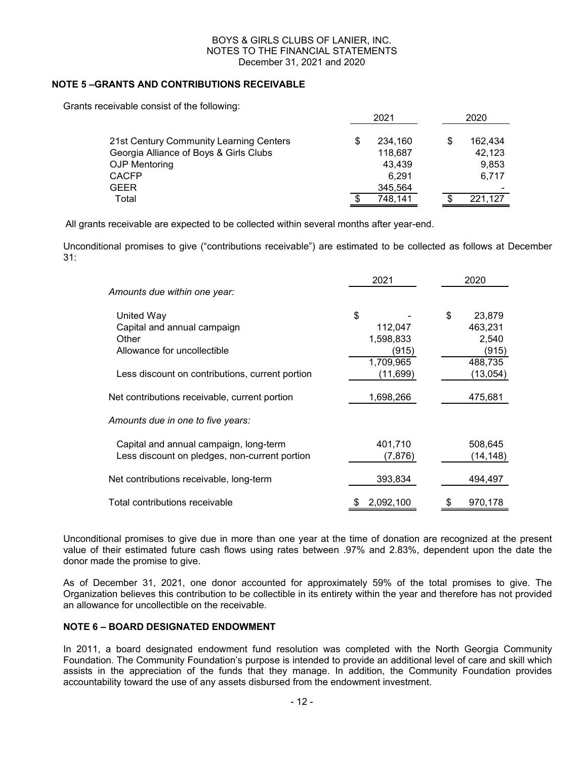### **NOTE 5 –GRANTS AND CONTRIBUTIONS RECEIVABLE**

Grants receivable consist of the following:

|                                         | 2021 |         | 2020 |         |
|-----------------------------------------|------|---------|------|---------|
| 21st Century Community Learning Centers | \$   | 234.160 | S    | 162,434 |
| Georgia Alliance of Boys & Girls Clubs  |      | 118,687 |      | 42,123  |
| <b>OJP Mentoring</b>                    |      | 43,439  |      | 9,853   |
| <b>CACFP</b>                            |      | 6.291   |      | 6.717   |
| <b>GEER</b>                             |      | 345,564 |      |         |
| Total                                   |      | 748,141 |      | 221.127 |

All grants receivable are expected to be collected within several months after year-end.

Unconditional promises to give ("contributions receivable") are estimated to be collected as follows at December 31:

|                                                 | 2021      | 2020         |  |  |
|-------------------------------------------------|-----------|--------------|--|--|
| Amounts due within one year:                    |           |              |  |  |
| United Way                                      | \$        | \$<br>23,879 |  |  |
| Capital and annual campaign                     | 112,047   | 463,231      |  |  |
| Other                                           | 1,598,833 | 2,540        |  |  |
| Allowance for uncollectible                     | (915)     | (915)        |  |  |
|                                                 | 1,709,965 | 488,735      |  |  |
| Less discount on contributions, current portion | (11,699)  | (13,054)     |  |  |
| Net contributions receivable, current portion   | 1,698,266 | 475,681      |  |  |
| Amounts due in one to five years:               |           |              |  |  |
| Capital and annual campaign, long-term          | 401,710   | 508,645      |  |  |
| Less discount on pledges, non-current portion   | (7, 876)  | (14, 148)    |  |  |
| Net contributions receivable, long-term         | 393,834   | 494,497      |  |  |
| Total contributions receivable                  | 2,092,100 | 970,178      |  |  |

Unconditional promises to give due in more than one year at the time of donation are recognized at the present value of their estimated future cash flows using rates between .97% and 2.83%, dependent upon the date the donor made the promise to give.

As of December 31, 2021, one donor accounted for approximately 59% of the total promises to give. The Organization believes this contribution to be collectible in its entirety within the year and therefore has not provided an allowance for uncollectible on the receivable.

# **NOTE 6 – BOARD DESIGNATED ENDOWMENT**

In 2011, a board designated endowment fund resolution was completed with the North Georgia Community Foundation. The Community Foundation's purpose is intended to provide an additional level of care and skill which assists in the appreciation of the funds that they manage. In addition, the Community Foundation provides accountability toward the use of any assets disbursed from the endowment investment.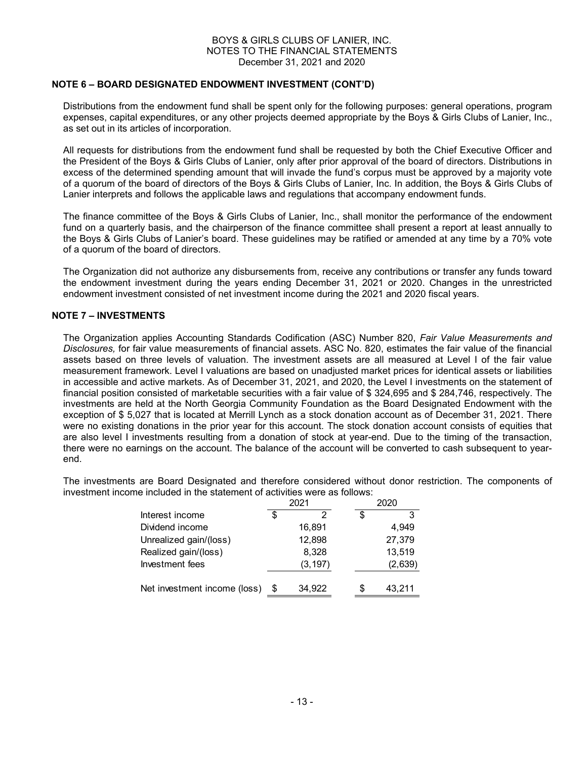### **NOTE 6 – BOARD DESIGNATED ENDOWMENT INVESTMENT (CONT'D)**

Distributions from the endowment fund shall be spent only for the following purposes: general operations, program expenses, capital expenditures, or any other projects deemed appropriate by the Boys & Girls Clubs of Lanier, Inc., as set out in its articles of incorporation.

All requests for distributions from the endowment fund shall be requested by both the Chief Executive Officer and the President of the Boys & Girls Clubs of Lanier, only after prior approval of the board of directors. Distributions in excess of the determined spending amount that will invade the fund's corpus must be approved by a majority vote of a quorum of the board of directors of the Boys & Girls Clubs of Lanier, Inc. In addition, the Boys & Girls Clubs of Lanier interprets and follows the applicable laws and regulations that accompany endowment funds.

The finance committee of the Boys & Girls Clubs of Lanier, Inc., shall monitor the performance of the endowment fund on a quarterly basis, and the chairperson of the finance committee shall present a report at least annually to the Boys & Girls Clubs of Lanier's board. These guidelines may be ratified or amended at any time by a 70% vote of a quorum of the board of directors.

The Organization did not authorize any disbursements from, receive any contributions or transfer any funds toward the endowment investment during the years ending December 31, 2021 or 2020. Changes in the unrestricted endowment investment consisted of net investment income during the 2021 and 2020 fiscal years.

### **NOTE 7 – INVESTMENTS**

The Organization applies Accounting Standards Codification (ASC) Number 820, *Fair Value Measurements and Disclosures,* for fair value measurements of financial assets. ASC No. 820, estimates the fair value of the financial assets based on three levels of valuation. The investment assets are all measured at Level I of the fair value measurement framework. Level I valuations are based on unadjusted market prices for identical assets or liabilities in accessible and active markets. As of December 31, 2021, and 2020, the Level I investments on the statement of financial position consisted of marketable securities with a fair value of \$ 324,695 and \$ 284,746, respectively. The investments are held at the North Georgia Community Foundation as the Board Designated Endowment with the exception of \$ 5,027 that is located at Merrill Lynch as a stock donation account as of December 31, 2021. There were no existing donations in the prior year for this account. The stock donation account consists of equities that are also level I investments resulting from a donation of stock at year-end. Due to the timing of the transaction, there were no earnings on the account. The balance of the account will be converted to cash subsequent to yearend.

The investments are Board Designated and therefore considered without donor restriction. The components of investment income included in the statement of activities were as follows:

|   | 2021    |        | 2020    |  |  |
|---|---------|--------|---------|--|--|
| S | っ       | \$     | 3       |  |  |
|   | 16,891  |        | 4.949   |  |  |
|   | 12,898  |        | 27,379  |  |  |
|   | 8,328   |        | 13,519  |  |  |
|   | (3,197) |        | (2,639) |  |  |
| S |         |        | 43.211  |  |  |
|   |         | 34,922 |         |  |  |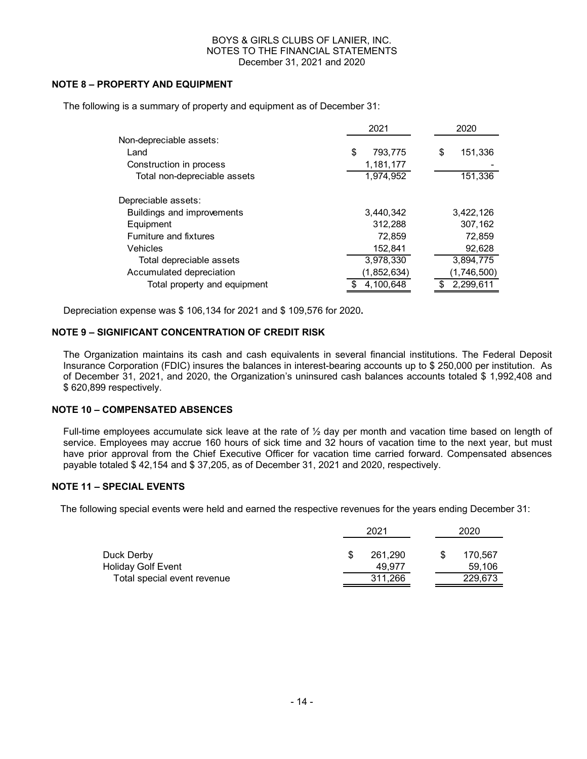### **NOTE 8 – PROPERTY AND EQUIPMENT**

The following is a summary of property and equipment as of December 31:

|                              | 2021          | 2020            |
|------------------------------|---------------|-----------------|
| Non-depreciable assets:      |               |                 |
| Land                         | \$<br>793,775 | \$<br>151,336   |
| Construction in process      | 1,181,177     |                 |
| Total non-depreciable assets | 1,974,952     | 151,336         |
| Depreciable assets:          |               |                 |
| Buildings and improvements   | 3.440.342     | 3,422,126       |
| Equipment                    | 312,288       | 307,162         |
| Furniture and fixtures       | 72,859        | 72,859          |
| Vehicles                     | 152,841       | 92,628          |
| Total depreciable assets     | 3,978,330     | 3,894,775       |
| Accumulated depreciation     | (1,852,634)   | (1,746,500)     |
| Total property and equipment | 4,100,648     | 2,299,611<br>\$ |

Depreciation expense was \$ 106,134 for 2021 and \$ 109,576 for 2020**.**

### **NOTE 9 – SIGNIFICANT CONCENTRATION OF CREDIT RISK**

The Organization maintains its cash and cash equivalents in several financial institutions. The Federal Deposit Insurance Corporation (FDIC) insures the balances in interest-bearing accounts up to \$ 250,000 per institution. As of December 31, 2021, and 2020, the Organization's uninsured cash balances accounts totaled \$ 1,992,408 and \$ 620,899 respectively.

### **NOTE 10 – COMPENSATED ABSENCES**

Full-time employees accumulate sick leave at the rate of ½ day per month and vacation time based on length of service. Employees may accrue 160 hours of sick time and 32 hours of vacation time to the next year, but must have prior approval from the Chief Executive Officer for vacation time carried forward. Compensated absences payable totaled \$ 42,154 and \$ 37,205, as of December 31, 2021 and 2020, respectively.

### **NOTE 11 – SPECIAL EVENTS**

The following special events were held and earned the respective revenues for the years ending December 31:

|                             | 2021    | 2020    |
|-----------------------------|---------|---------|
| Duck Derby                  | 261.290 | 170.567 |
| <b>Holiday Golf Event</b>   | 49.977  | 59,106  |
| Total special event revenue | 311.266 | 229,673 |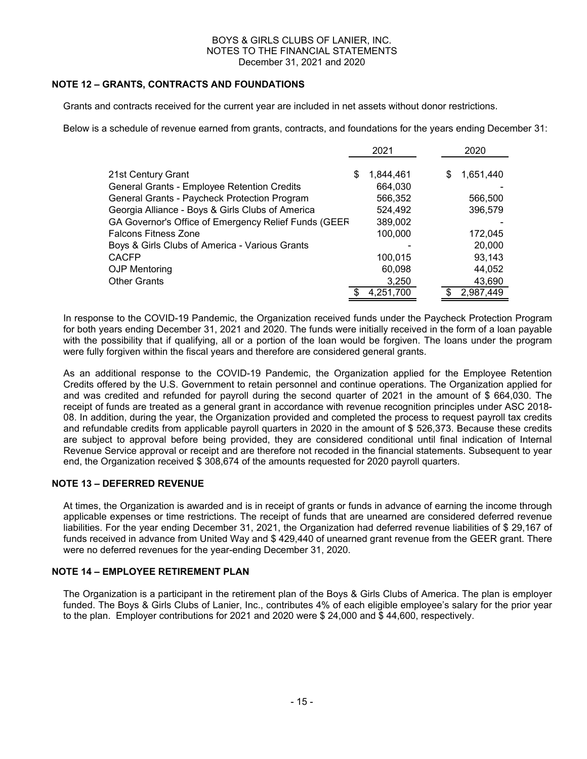### **NOTE 12 – GRANTS, CONTRACTS AND FOUNDATIONS**

Grants and contracts received for the current year are included in net assets without donor restrictions.

Below is a schedule of revenue earned from grants, contracts, and foundations for the years ending December 31:

|                                                      | 2021            |   | 2020      |
|------------------------------------------------------|-----------------|---|-----------|
| 21st Century Grant                                   | \$<br>1,844,461 | S | 1,651,440 |
| General Grants - Employee Retention Credits          | 664,030         |   |           |
| General Grants - Paycheck Protection Program         | 566,352         |   | 566,500   |
| Georgia Alliance - Boys & Girls Clubs of America     | 524,492         |   | 396,579   |
| GA Governor's Office of Emergency Relief Funds (GEER | 389,002         |   |           |
| <b>Falcons Fitness Zone</b>                          | 100,000         |   | 172,045   |
| Boys & Girls Clubs of America - Various Grants       |                 |   | 20,000    |
| <b>CACFP</b>                                         | 100,015         |   | 93,143    |
| <b>OJP Mentoring</b>                                 | 60,098          |   | 44,052    |
| <b>Other Grants</b>                                  | 3,250           |   | 43,690    |
|                                                      | 4.251.700       |   | 2,987,449 |

In response to the COVID-19 Pandemic, the Organization received funds under the Paycheck Protection Program for both years ending December 31, 2021 and 2020. The funds were initially received in the form of a loan payable with the possibility that if qualifying, all or a portion of the loan would be forgiven. The loans under the program were fully forgiven within the fiscal years and therefore are considered general grants.

As an additional response to the COVID-19 Pandemic, the Organization applied for the Employee Retention Credits offered by the U.S. Government to retain personnel and continue operations. The Organization applied for and was credited and refunded for payroll during the second quarter of 2021 in the amount of \$ 664,030. The receipt of funds are treated as a general grant in accordance with revenue recognition principles under ASC 2018- 08. In addition, during the year, the Organization provided and completed the process to request payroll tax credits and refundable credits from applicable payroll quarters in 2020 in the amount of \$ 526,373. Because these credits are subject to approval before being provided, they are considered conditional until final indication of Internal Revenue Service approval or receipt and are therefore not recoded in the financial statements. Subsequent to year end, the Organization received \$ 308,674 of the amounts requested for 2020 payroll quarters.

### **NOTE 13 – DEFERRED REVENUE**

At times, the Organization is awarded and is in receipt of grants or funds in advance of earning the income through applicable expenses or time restrictions. The receipt of funds that are unearned are considered deferred revenue liabilities. For the year ending December 31, 2021, the Organization had deferred revenue liabilities of \$ 29,167 of funds received in advance from United Way and \$ 429,440 of unearned grant revenue from the GEER grant. There were no deferred revenues for the year-ending December 31, 2020.

### **NOTE 14 – EMPLOYEE RETIREMENT PLAN**

The Organization is a participant in the retirement plan of the Boys & Girls Clubs of America. The plan is employer funded. The Boys & Girls Clubs of Lanier, Inc., contributes 4% of each eligible employee's salary for the prior year to the plan. Employer contributions for 2021 and 2020 were \$ 24,000 and \$ 44,600, respectively.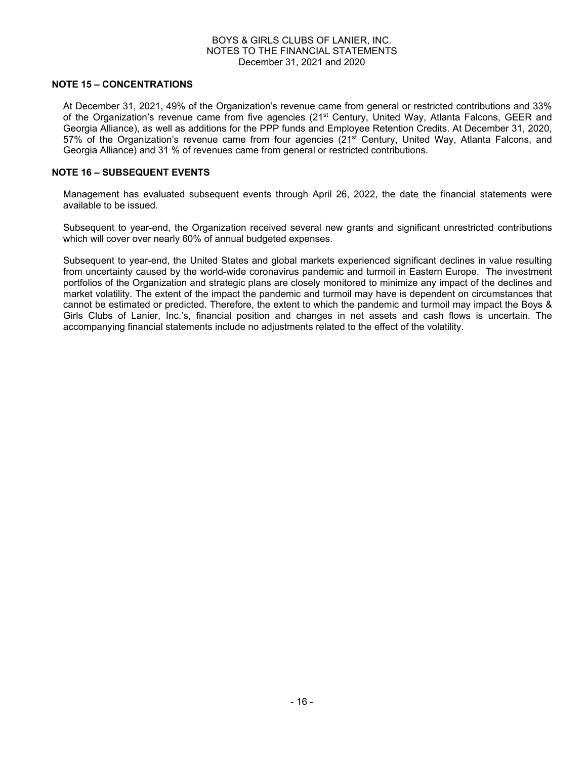### **NOTE 15 – CONCENTRATIONS**

At December 31, 2021, 49% of the Organization's revenue came from general or restricted contributions and 33% of the Organization's revenue came from five agencies (21<sup>st</sup> Century, United Way, Atlanta Falcons, GEER and Georgia Alliance), as well as additions for the PPP funds and Employee Retention Credits. At December 31, 2020, 57% of the Organization's revenue came from four agencies (21<sup>st</sup> Century, United Way, Atlanta Falcons, and Georgia Alliance) and 31 % of revenues came from general or restricted contributions.

## **NOTE 16 – SUBSEQUENT EVENTS**

Management has evaluated subsequent events through April 26, 2022, the date the financial statements were available to be issued.

Subsequent to year-end, the Organization received several new grants and significant unrestricted contributions which will cover over nearly 60% of annual budgeted expenses.

Subsequent to year-end, the United States and global markets experienced significant declines in value resulting from uncertainty caused by the world-wide coronavirus pandemic and turmoil in Eastern Europe. The investment portfolios of the Organization and strategic plans are closely monitored to minimize any impact of the declines and market volatility. The extent of the impact the pandemic and turmoil may have is dependent on circumstances that cannot be estimated or predicted. Therefore, the extent to which the pandemic and turmoil may impact the Boys & Girls Clubs of Lanier, Inc.'s, financial position and changes in net assets and cash flows is uncertain. The accompanying financial statements include no adjustments related to the effect of the volatility.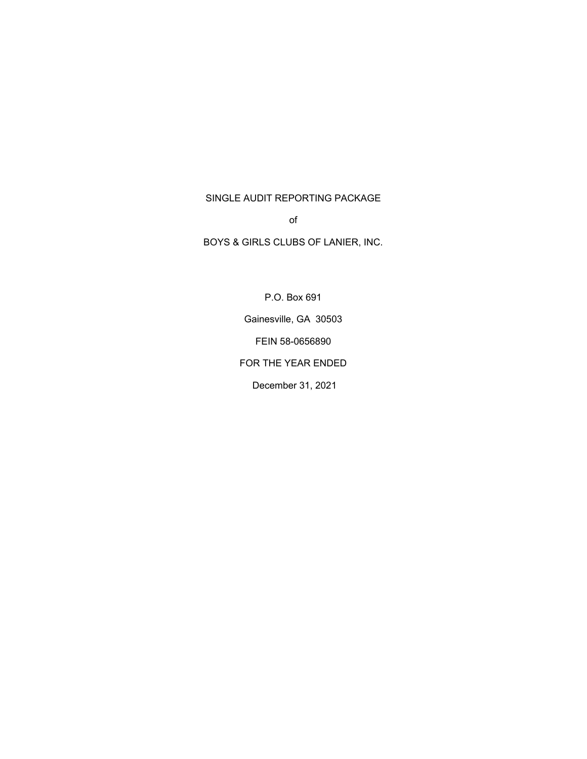# SINGLE AUDIT REPORTING PACKAGE

of

# BOYS & GIRLS CLUBS OF LANIER, INC.

P.O. Box 691

Gainesville, GA 30503

FEIN 58-0656890

FOR THE YEAR ENDED

December 31, 2021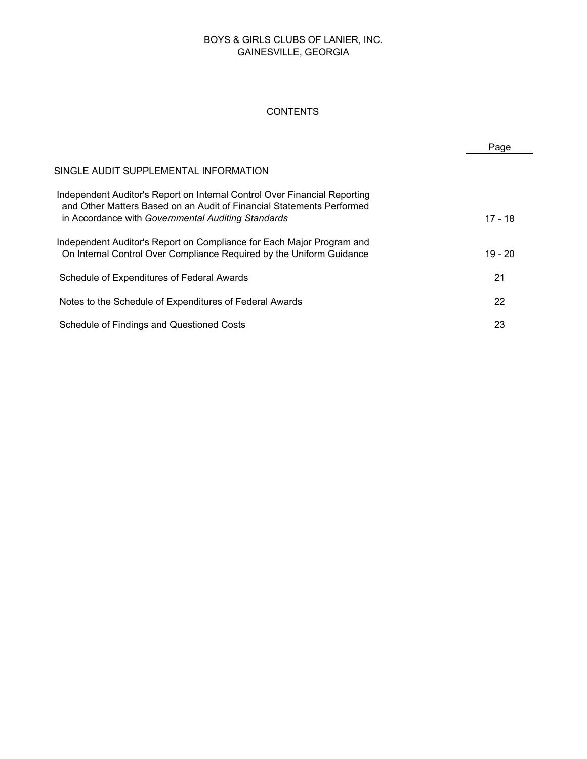# BOYS & GIRLS CLUBS OF LANIER, INC. GAINESVILLE, GEORGIA

# **CONTENTS**

|                                                                                                                                                                                                          | Page      |
|----------------------------------------------------------------------------------------------------------------------------------------------------------------------------------------------------------|-----------|
| SINGLE AUDIT SUPPLEMENTAL INFORMATION                                                                                                                                                                    |           |
| Independent Auditor's Report on Internal Control Over Financial Reporting<br>and Other Matters Based on an Audit of Financial Statements Performed<br>in Accordance with Governmental Auditing Standards | 17 - 18   |
| Independent Auditor's Report on Compliance for Each Major Program and<br>On Internal Control Over Compliance Required by the Uniform Guidance                                                            | $19 - 20$ |
| Schedule of Expenditures of Federal Awards                                                                                                                                                               | 21        |
| Notes to the Schedule of Expenditures of Federal Awards                                                                                                                                                  | 22        |
| Schedule of Findings and Questioned Costs                                                                                                                                                                | 23        |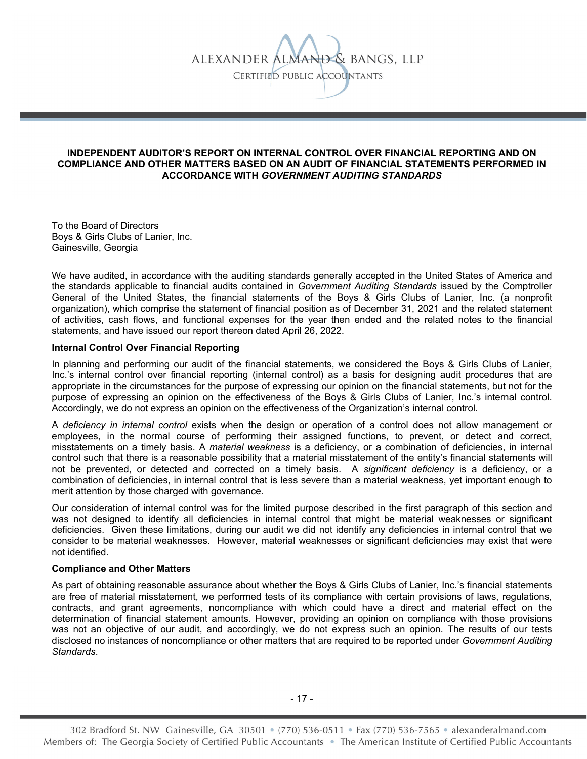

### **INDEPENDENT AUDITOR'S REPORT ON INTERNAL CONTROL OVER FINANCIAL REPORTING AND ON COMPLIANCE AND OTHER MATTERS BASED ON AN AUDIT OF FINANCIAL STATEMENTS PERFORMED IN ACCORDANCE WITH** *GOVERNMENT AUDITING STANDARDS*

To the Board of Directors Boys & Girls Clubs of Lanier, Inc. Gainesville, Georgia

We have audited, in accordance with the auditing standards generally accepted in the United States of America and the standards applicable to financial audits contained in *Government Auditing Standards* issued by the Comptroller General of the United States, the financial statements of the Boys & Girls Clubs of Lanier, Inc. (a nonprofit organization), which comprise the statement of financial position as of December 31, 2021 and the related statement of activities, cash flows, and functional expenses for the year then ended and the related notes to the financial statements, and have issued our report thereon dated April 26, 2022.

### **Internal Control Over Financial Reporting**

In planning and performing our audit of the financial statements, we considered the Boys & Girls Clubs of Lanier, Inc.'s internal control over financial reporting (internal control) as a basis for designing audit procedures that are appropriate in the circumstances for the purpose of expressing our opinion on the financial statements, but not for the purpose of expressing an opinion on the effectiveness of the Boys & Girls Clubs of Lanier, Inc.'s internal control. Accordingly, we do not express an opinion on the effectiveness of the Organization's internal control.

A *deficiency in internal control* exists when the design or operation of a control does not allow management or employees, in the normal course of performing their assigned functions, to prevent, or detect and correct, misstatements on a timely basis. A *material weakness* is a deficiency, or a combination of deficiencies, in internal control such that there is a reasonable possibility that a material misstatement of the entity's financial statements will not be prevented, or detected and corrected on a timely basis. A *significant deficiency* is a deficiency, or a combination of deficiencies, in internal control that is less severe than a material weakness, yet important enough to merit attention by those charged with governance.

Our consideration of internal control was for the limited purpose described in the first paragraph of this section and was not designed to identify all deficiencies in internal control that might be material weaknesses or significant deficiencies. Given these limitations, during our audit we did not identify any deficiencies in internal control that we consider to be material weaknesses. However, material weaknesses or significant deficiencies may exist that were not identified.

### **Compliance and Other Matters**

As part of obtaining reasonable assurance about whether the Boys & Girls Clubs of Lanier, Inc.'s financial statements are free of material misstatement, we performed tests of its compliance with certain provisions of laws, regulations, contracts, and grant agreements, noncompliance with which could have a direct and material effect on the determination of financial statement amounts. However, providing an opinion on compliance with those provisions was not an objective of our audit, and accordingly, we do not express such an opinion. The results of our tests disclosed no instances of noncompliance or other matters that are required to be reported under *Government Auditing Standards*.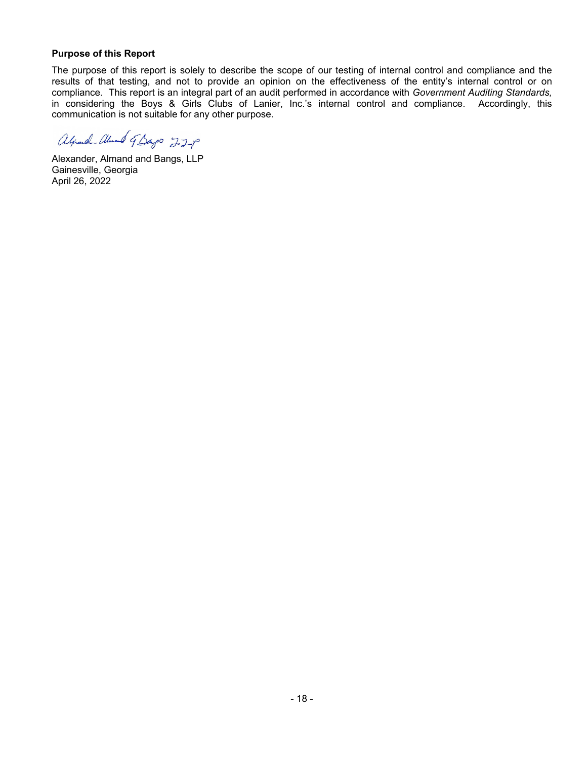### **Purpose of this Report**

The purpose of this report is solely to describe the scope of our testing of internal control and compliance and the results of that testing, and not to provide an opinion on the effectiveness of the entity's internal control or on compliance. This report is an integral part of an audit performed in accordance with *Government Auditing Standards,*  in considering the Boys & Girls Clubs of Lanier, Inc.'s internal control and compliance. Accordingly, this communication is not suitable for any other purpose.

alport almost & Dago 22p

Alexander, Almand and Bangs, LLP Gainesville, Georgia April 26, 2022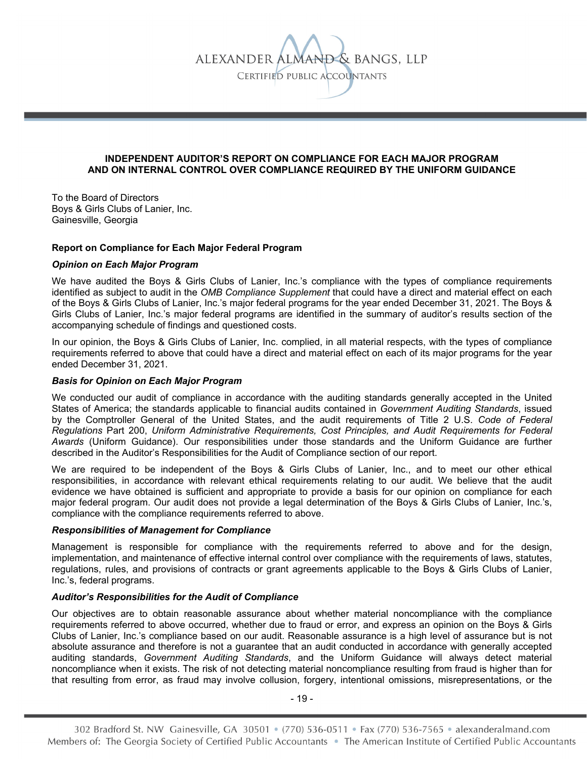

### **INDEPENDENT AUDITOR'S REPORT ON COMPLIANCE FOR EACH MAJOR PROGRAM AND ON INTERNAL CONTROL OVER COMPLIANCE REQUIRED BY THE UNIFORM GUIDANCE**

To the Board of Directors Boys & Girls Clubs of Lanier, Inc. Gainesville, Georgia

### **Report on Compliance for Each Major Federal Program**

### *Opinion on Each Major Program*

We have audited the Boys & Girls Clubs of Lanier, Inc.'s compliance with the types of compliance requirements identified as subject to audit in the *OMB Compliance Supplement* that could have a direct and material effect on each of the Boys & Girls Clubs of Lanier, Inc.'s major federal programs for the year ended December 31, 2021. The Boys & Girls Clubs of Lanier, Inc.'s major federal programs are identified in the summary of auditor's results section of the accompanying schedule of findings and questioned costs.

In our opinion, the Boys & Girls Clubs of Lanier, Inc. complied, in all material respects, with the types of compliance requirements referred to above that could have a direct and material effect on each of its major programs for the year ended December 31, 2021.

#### *Basis for Opinion on Each Major Program*

We conducted our audit of compliance in accordance with the auditing standards generally accepted in the United States of America; the standards applicable to financial audits contained in *Government Auditing Standards*, issued by the Comptroller General of the United States, and the audit requirements of Title 2 U.S. *Code of Federal Regulations* Part 200, *Uniform Administrative Requirements, Cost Principles, and Audit Requirements for Federal Awards* (Uniform Guidance). Our responsibilities under those standards and the Uniform Guidance are further described in the Auditor's Responsibilities for the Audit of Compliance section of our report.

We are required to be independent of the Boys & Girls Clubs of Lanier, Inc., and to meet our other ethical responsibilities, in accordance with relevant ethical requirements relating to our audit. We believe that the audit evidence we have obtained is sufficient and appropriate to provide a basis for our opinion on compliance for each major federal program. Our audit does not provide a legal determination of the Boys & Girls Clubs of Lanier, Inc.'s, compliance with the compliance requirements referred to above.

#### *Responsibilities of Management for Compliance*

Management is responsible for compliance with the requirements referred to above and for the design, implementation, and maintenance of effective internal control over compliance with the requirements of laws, statutes, regulations, rules, and provisions of contracts or grant agreements applicable to the Boys & Girls Clubs of Lanier, Inc.'s, federal programs.

#### *Auditor's Responsibilities for the Audit of Compliance*

Our objectives are to obtain reasonable assurance about whether material noncompliance with the compliance requirements referred to above occurred, whether due to fraud or error, and express an opinion on the Boys & Girls Clubs of Lanier, Inc.'s compliance based on our audit. Reasonable assurance is a high level of assurance but is not absolute assurance and therefore is not a guarantee that an audit conducted in accordance with generally accepted auditing standards, *Government Auditing Standards*, and the Uniform Guidance will always detect material noncompliance when it exists. The risk of not detecting material noncompliance resulting from fraud is higher than for that resulting from error, as fraud may involve collusion, forgery, intentional omissions, misrepresentations, or the

- 19 -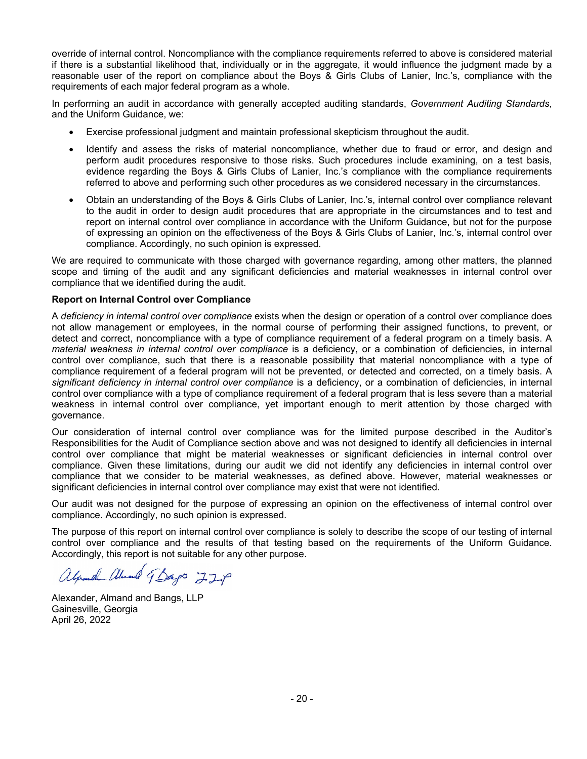override of internal control. Noncompliance with the compliance requirements referred to above is considered material if there is a substantial likelihood that, individually or in the aggregate, it would influence the judgment made by a reasonable user of the report on compliance about the Boys & Girls Clubs of Lanier, Inc.'s, compliance with the requirements of each major federal program as a whole.

In performing an audit in accordance with generally accepted auditing standards, *Government Auditing Standards*, and the Uniform Guidance, we:

- Exercise professional judgment and maintain professional skepticism throughout the audit.
- Identify and assess the risks of material noncompliance, whether due to fraud or error, and design and perform audit procedures responsive to those risks. Such procedures include examining, on a test basis, evidence regarding the Boys & Girls Clubs of Lanier, Inc.'s compliance with the compliance requirements referred to above and performing such other procedures as we considered necessary in the circumstances.
- Obtain an understanding of the Boys & Girls Clubs of Lanier, Inc.'s, internal control over compliance relevant to the audit in order to design audit procedures that are appropriate in the circumstances and to test and report on internal control over compliance in accordance with the Uniform Guidance, but not for the purpose of expressing an opinion on the effectiveness of the Boys & Girls Clubs of Lanier, Inc.'s, internal control over compliance. Accordingly, no such opinion is expressed.

We are required to communicate with those charged with governance regarding, among other matters, the planned scope and timing of the audit and any significant deficiencies and material weaknesses in internal control over compliance that we identified during the audit.

### **Report on Internal Control over Compliance**

A *deficiency in internal control over compliance* exists when the design or operation of a control over compliance does not allow management or employees, in the normal course of performing their assigned functions, to prevent, or detect and correct, noncompliance with a type of compliance requirement of a federal program on a timely basis. A *material weakness in internal control over compliance* is a deficiency, or a combination of deficiencies, in internal control over compliance, such that there is a reasonable possibility that material noncompliance with a type of compliance requirement of a federal program will not be prevented, or detected and corrected, on a timely basis. A *significant deficiency in internal control over compliance* is a deficiency, or a combination of deficiencies, in internal control over compliance with a type of compliance requirement of a federal program that is less severe than a material weakness in internal control over compliance, yet important enough to merit attention by those charged with governance.

Our consideration of internal control over compliance was for the limited purpose described in the Auditor's Responsibilities for the Audit of Compliance section above and was not designed to identify all deficiencies in internal control over compliance that might be material weaknesses or significant deficiencies in internal control over compliance. Given these limitations, during our audit we did not identify any deficiencies in internal control over compliance that we consider to be material weaknesses, as defined above. However, material weaknesses or significant deficiencies in internal control over compliance may exist that were not identified.

Our audit was not designed for the purpose of expressing an opinion on the effectiveness of internal control over compliance. Accordingly, no such opinion is expressed.

The purpose of this report on internal control over compliance is solely to describe the scope of our testing of internal control over compliance and the results of that testing based on the requirements of the Uniform Guidance. Accordingly, this report is not suitable for any other purpose.

alport almond & Dago 22P

Alexander, Almand and Bangs, LLP Gainesville, Georgia April 26, 2022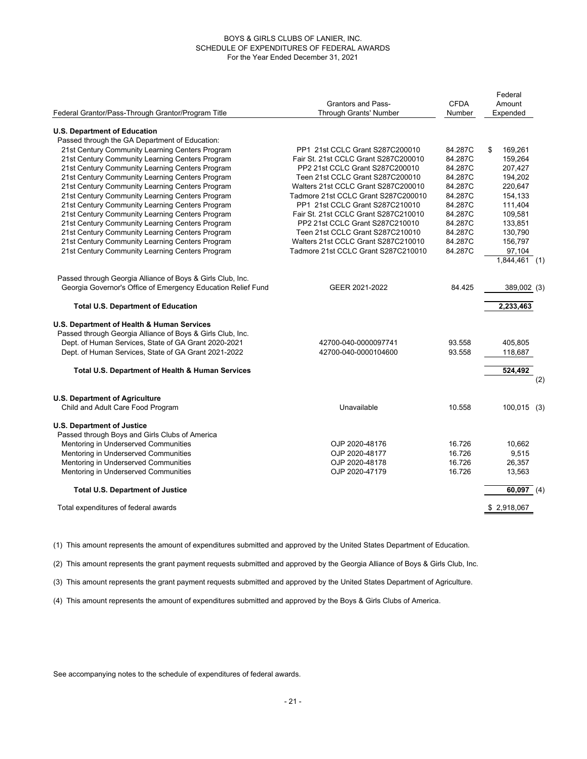#### BOYS & GIRLS CLUBS OF LANIER, INC. SCHEDULE OF EXPENDITURES OF FEDERAL AWARDS For the Year Ended December 31, 2021

| Federal Grantor/Pass-Through Grantor/Program Title           | <b>Grantors and Pass-</b><br>Through Grants' Number | <b>CFDA</b><br>Number | Federal<br>Amount<br>Expended |     |
|--------------------------------------------------------------|-----------------------------------------------------|-----------------------|-------------------------------|-----|
| <b>U.S. Department of Education</b>                          |                                                     |                       |                               |     |
| Passed through the GA Department of Education:               |                                                     |                       |                               |     |
| 21st Century Community Learning Centers Program              | PP1 21st CCLC Grant S287C200010                     | 84.287C               | \$<br>169,261                 |     |
| 21st Century Community Learning Centers Program              | Fair St. 21st CCLC Grant S287C200010                | 84.287C               | 159,264                       |     |
| 21st Century Community Learning Centers Program              | PP2 21st CCLC Grant S287C200010                     | 84.287C               | 207,427                       |     |
| 21st Century Community Learning Centers Program              | Teen 21st CCLC Grant S287C200010                    | 84.287C               | 194,202                       |     |
| 21st Century Community Learning Centers Program              | Walters 21st CCLC Grant S287C200010                 | 84.287C               | 220,647                       |     |
| 21st Century Community Learning Centers Program              | Tadmore 21st CCLC Grant S287C200010                 | 84.287C               | 154,133                       |     |
| 21st Century Community Learning Centers Program              | PP1 21st CCLC Grant S287C210010                     | 84.287C               | 111,404                       |     |
| 21st Century Community Learning Centers Program              | Fair St. 21st CCLC Grant S287C210010                | 84.287C               | 109,581                       |     |
| 21st Century Community Learning Centers Program              | PP2 21st CCLC Grant S287C210010                     | 84.287C               | 133,851                       |     |
| 21st Century Community Learning Centers Program              | Teen 21st CCLC Grant S287C210010                    | 84.287C               | 130,790                       |     |
| 21st Century Community Learning Centers Program              | Walters 21st CCLC Grant S287C210010                 | 84.287C               | 156,797                       |     |
| 21st Century Community Learning Centers Program              | Tadmore 21st CCLC Grant S287C210010                 | 84.287C               | 97,104                        |     |
|                                                              |                                                     |                       | $1,844,461$ (1)               |     |
| Passed through Georgia Alliance of Boys & Girls Club, Inc.   |                                                     |                       |                               |     |
| Georgia Governor's Office of Emergency Education Relief Fund | GEER 2021-2022                                      | 84.425                | 389,002 (3)                   |     |
| <b>Total U.S. Department of Education</b>                    |                                                     |                       | 2,233,463                     |     |
| U.S. Department of Health & Human Services                   |                                                     |                       |                               |     |
| Passed through Georgia Alliance of Boys & Girls Club, Inc.   |                                                     |                       |                               |     |
| Dept. of Human Services, State of GA Grant 2020-2021         | 42700-040-0000097741                                | 93.558                | 405.805                       |     |
| Dept. of Human Services, State of GA Grant 2021-2022         | 42700-040-0000104600                                | 93.558                | 118,687                       |     |
| Total U.S. Department of Health & Human Services             |                                                     |                       | 524,492                       |     |
|                                                              |                                                     |                       |                               | (2) |
| <b>U.S. Department of Agriculture</b>                        |                                                     |                       |                               |     |
| Child and Adult Care Food Program                            | Unavailable                                         | 10.558                | $100,015$ (3)                 |     |
| <b>U.S. Department of Justice</b>                            |                                                     |                       |                               |     |
| Passed through Boys and Girls Clubs of America               |                                                     |                       |                               |     |
| Mentoring in Underserved Communities                         | OJP 2020-48176                                      | 16.726                | 10,662                        |     |
| Mentoring in Underserved Communities                         | OJP 2020-48177                                      | 16.726                | 9,515                         |     |
| Mentoring in Underserved Communities                         | OJP 2020-48178                                      | 16.726                | 26,357                        |     |
| Mentoring in Underserved Communities                         | OJP 2020-47179                                      | 16.726                | 13,563                        |     |
| <b>Total U.S. Department of Justice</b>                      |                                                     |                       | $\overline{60,}097$ (4)       |     |
| Total expenditures of federal awards                         |                                                     |                       | \$2,918,067                   |     |
|                                                              |                                                     |                       |                               |     |

(1) This amount represents the amount of expenditures submitted and approved by the United States Department of Education.

(2) This amount represents the grant payment requests submitted and approved by the Georgia Alliance of Boys & Girls Club, Inc.

(3) This amount represents the grant payment requests submitted and approved by the United States Department of Agriculture.

(4) This amount represents the amount of expenditures submitted and approved by the Boys & Girls Clubs of America.

See accompanying notes to the schedule of expenditures of federal awards.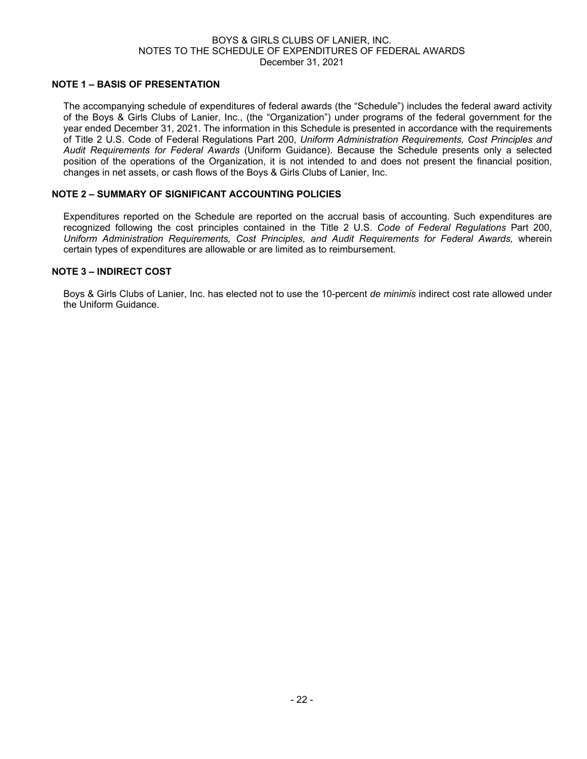#### BOYS & GIRLS CLUBS OF LANIER, INC. NOTES TO THE SCHEDULE OF EXPENDITURES OF FEDERAL AWARDS December 31, 2021

### **NOTE 1 – BASIS OF PRESENTATION**

The accompanying schedule of expenditures of federal awards (the "Schedule") includes the federal award activity of the Boys & Girls Clubs of Lanier, Inc., (the "Organization") under programs of the federal government for the year ended December 31, 2021. The information in this Schedule is presented in accordance with the requirements of Title 2 U.S. Code of Federal Regulations Part 200, *Uniform Administration Requirements, Cost Principles and Audit Requirements for Federal Awards* (Uniform Guidance). Because the Schedule presents only a selected position of the operations of the Organization, it is not intended to and does not present the financial position, changes in net assets, or cash flows of the Boys & Girls Clubs of Lanier, Inc.

### **NOTE 2 – SUMMARY OF SIGNIFICANT ACCOUNTING POLICIES**

Expenditures reported on the Schedule are reported on the accrual basis of accounting. Such expenditures are recognized following the cost principles contained in the Title 2 U.S. *Code of Federal Regulations* Part 200, *Uniform Administration Requirements, Cost Principles, and Audit Requirements for Federal Awards,* wherein certain types of expenditures are allowable or are limited as to reimbursement.

# **NOTE 3 – INDIRECT COST**

Boys & Girls Clubs of Lanier, Inc. has elected not to use the 10-percent *de minimis* indirect cost rate allowed under the Uniform Guidance.